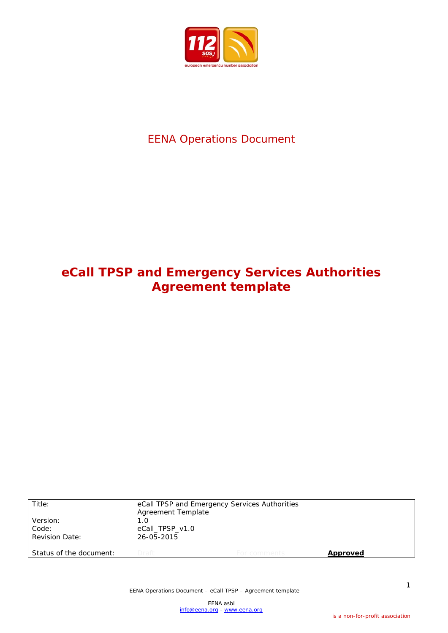

# EENA Operations Document

# **eCall TPSP and Emergency Services Authorities Agreement template**

Title: eCall TPSP and Emergency Services Authorities

Revision Date:

Agreement Template Version: 1.0<br>Code: eCa eCall\_TPSP\_v1.0<br>26-05-2015

**Status of the document:** Draft **Draft For comments Approved** 

EENA Operations Document – eCall TPSP – Agreement template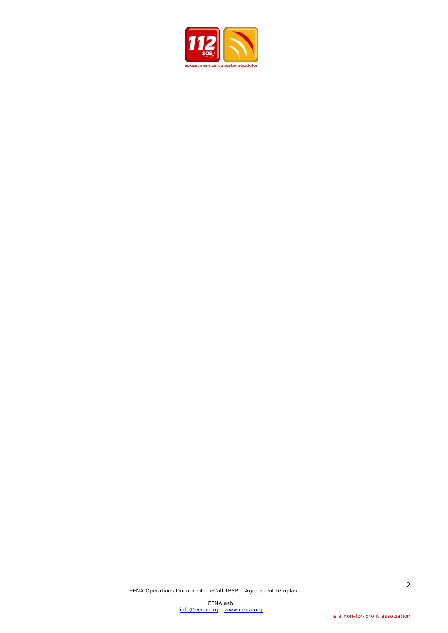

EENA Operations Document – eCall TPSP – Agreement template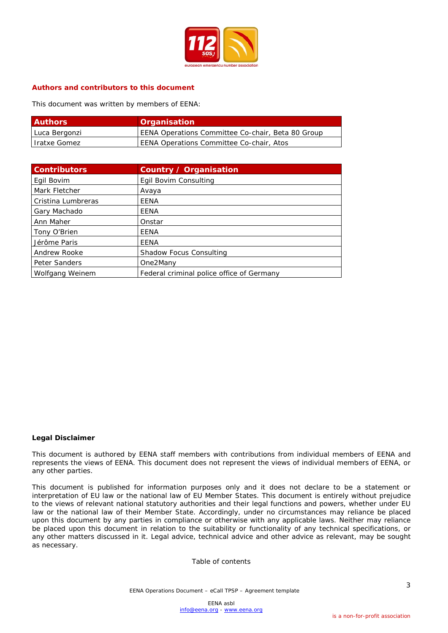

# **Authors and contributors to this document**

This document was written by members of EENA:

| <b>Authors</b> | <b>Organisation</b>                               |
|----------------|---------------------------------------------------|
| Luca Bergonzi  | EENA Operations Committee Co-chair, Beta 80 Group |
| I Iratxe Gomez | EENA Operations Committee Co-chair, Atos          |

| <b>Contributors</b>  | Country / Organisation                    |
|----------------------|-------------------------------------------|
| Egil Bovim           | Egil Bovim Consulting                     |
| Mark Fletcher        | Avaya                                     |
| Cristina Lumbreras   | EENA                                      |
| Gary Machado         | EENA                                      |
| Ann Maher            | Onstar                                    |
| Tony O'Brien         | EENA                                      |
| Jérôme Paris         | EENA                                      |
| Andrew Rooke         | <b>Shadow Focus Consulting</b>            |
| <b>Peter Sanders</b> | One2Many                                  |
| Wolfgang Weinem      | Federal criminal police office of Germany |

## **Legal Disclaimer**

This document is authored by EENA staff members with contributions from individual members of EENA and represents the views of EENA. This document does not represent the views of individual members of EENA, or any other parties.

This document is published for information purposes only and it does not declare to be a statement or interpretation of EU law or the national law of EU Member States. This document is entirely without prejudice to the views of relevant national statutory authorities and their legal functions and powers, whether under EU law or the national law of their Member State. Accordingly, under no circumstances may reliance be placed upon this document by any parties in compliance or otherwise with any applicable laws. Neither may reliance be placed upon this document in relation to the suitability or functionality of any technical specifications, or any other matters discussed in it. Legal advice, technical advice and other advice as relevant, may be sought as necessary.

#### Table of contents

EENA Operations Document – eCall TPSP – Agreement template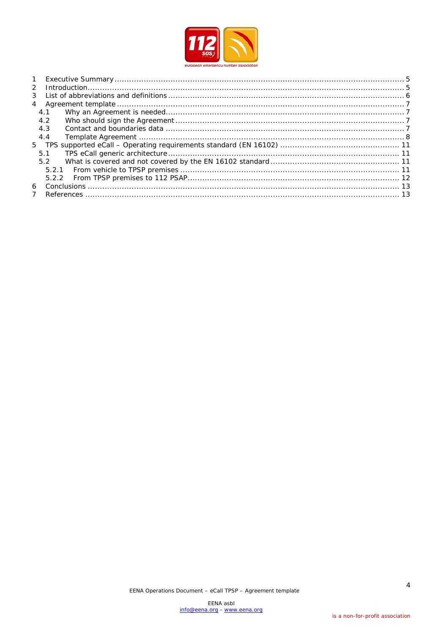

| $\mathbf{1}$ |     |  |
|--------------|-----|--|
| 2            |     |  |
| 3            |     |  |
| 4            |     |  |
|              | 4.1 |  |
|              | 4.2 |  |
|              | 4.3 |  |
|              | 4.4 |  |
|              |     |  |
|              | 5.1 |  |
|              | 5.2 |  |
|              |     |  |
|              |     |  |
| 6            |     |  |
| 7            |     |  |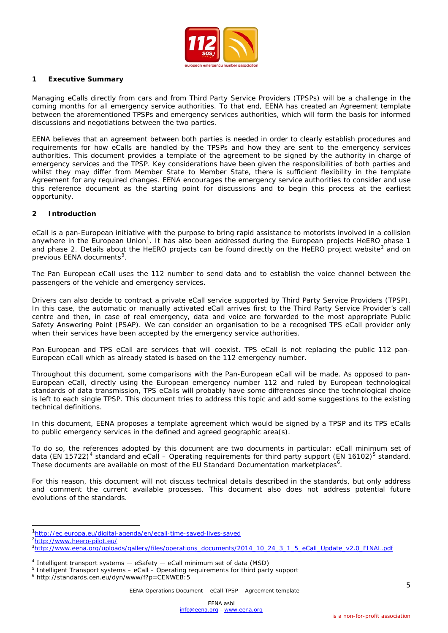

#### <span id="page-4-0"></span>**1 Executive Summary**

Managing eCalls directly from cars and from Third Party Service Providers (TPSPs) will be a challenge in the coming months for all emergency service authorities. To that end, EENA has created an Agreement template between the aforementioned TPSPs and emergency services authorities, which will form the basis for informed discussions and negotiations between the two parties.

EENA believes that an agreement between both parties is needed in order to clearly establish procedures and requirements for how eCalls are handled by the TPSPs and how they are sent to the emergency services authorities. This document provides a template of the agreement to be signed by the authority in charge of emergency services and the TPSP. Key considerations have been given the responsibilities of both parties and whilst they may differ from Member State to Member State, there is sufficient flexibility in the template Agreement for any required changes. EENA encourages the emergency service authorities to consider and use this reference document as the starting point for discussions and to begin this process at the earliest opportunity.

#### <span id="page-4-1"></span>**2 Introduction**

eCall is a pan-European initiative with the purpose to bring rapid assistance to motorists involved in a collision anywhere in the European Union<sup>[1](#page-4-2)</sup>. It has also been addressed during the European projects HeERO phase 1 and phase [2](#page-4-3). Details about the HeERO projects can be found directly on the HeERO project website<sup>2</sup> and on previous EENA documents<sup>[3](#page-4-4)</sup>.

The Pan European eCall uses the 112 number to send data and to establish the voice channel between the passengers of the vehicle and emergency services.

Drivers can also decide to contract a private eCall service supported by Third Party Service Providers (TPSP). In this case, the automatic or manually activated eCall arrives first to the Third Party Service Provider's call centre and then, in case of real emergency, data and voice are forwarded to the most appropriate Public Safety Answering Point (PSAP). We can consider an organisation to be a recognised TPS eCall provider only when their services have been accepted by the emergency service authorities.

Pan-European and TPS eCall are services that will coexist. TPS eCall is not replacing the public 112 pan-European eCall which as already stated is based on the 112 emergency number.

Throughout this document, some comparisons with the Pan-European eCall will be made. As opposed to pan-European eCall, directly using the European emergency number 112 and ruled by European technological standards of data transmission, TPS eCalls will probably have some differences since the technological choice is left to each single TPSP. This document tries to address this topic and add some suggestions to the existing technical definitions.

In this document, EENA proposes a template agreement which would be signed by a TPSP and its TPS eCalls to public emergency services in the defined and agreed geographic area(s).

To do so, the references adopted by this document are two documents in particular: eCall minimum set of data (EN 15722)<sup>[4](#page-4-5)</sup> standard and eCall – Operating requirements for third party support (EN 16102)<sup>[5](#page-4-6)</sup> standard. These documents are available on most of the EU Standard Documentation marketplaces<sup>[6](#page-4-7)</sup>.

For this reason, this document will not discuss technical details described in the standards, but only address and comment the current available processes. This document also does not address potential future evolutions of the standards.

 <sup>1</sup> http://ec.europa.eu/digital-agenda/en/ecall-time-saved-lives-saved

<span id="page-4-3"></span><span id="page-4-2"></span><sup>2</sup> <http://www.heero-pilot.eu/>

<span id="page-4-4"></span><sup>&</sup>lt;sup>3</sup>[http://www.eena.org/uploads/gallery/files/operations\\_documents/2014\\_10\\_24\\_3\\_1\\_5\\_eCall\\_Update\\_v2.0\\_FINAL.pdf](http://www.eena.org/uploads/gallery/files/operations_documents/2014_10_24_3_1_5_eCall_Update_v2.0_FINAL.pdf)

<span id="page-4-5"></span> $4$  Intelligent transport systems  $-$  eSafety  $-$  eCall minimum set of data (MSD)

<span id="page-4-6"></span><sup>5</sup> Intelligent Transport systems – eCall – Operating requirements for third party support

<span id="page-4-7"></span><sup>6</sup> http://standards.cen.eu/dyn/www/f?p=CENWEB:5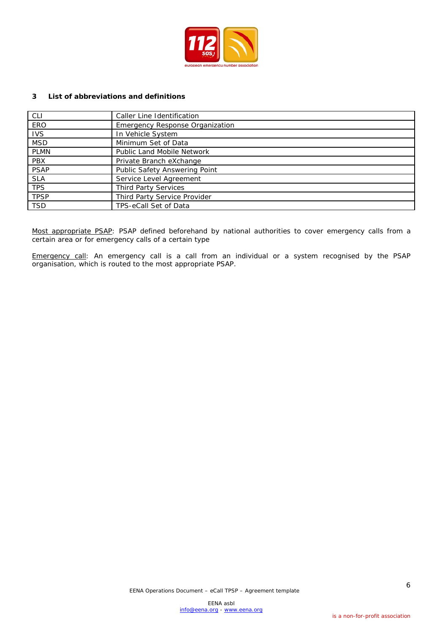

# <span id="page-5-0"></span>**3 List of abbreviations and definitions**

| CLI         | Caller Line Identification             |
|-------------|----------------------------------------|
| ERO         | <b>Emergency Response Organization</b> |
| <b>IVS</b>  | In Vehicle System                      |
| <b>MSD</b>  | Minimum Set of Data                    |
| <b>PLMN</b> | Public Land Mobile Network             |
| <b>PBX</b>  | Private Branch eXchange                |
| <b>PSAP</b> | Public Safety Answering Point          |
| <b>SLA</b>  | Service Level Agreement                |
| <b>TPS</b>  | <b>Third Party Services</b>            |
| <b>TPSP</b> | Third Party Service Provider           |
| TSD         | TPS-eCall Set of Data                  |

Most appropriate PSAP: PSAP defined beforehand by national authorities to cover emergency calls from a certain area or for emergency calls of a certain type

Emergency call: An emergency call is a call from an individual or a system recognised by the PSAP organisation, which is routed to the most appropriate PSAP.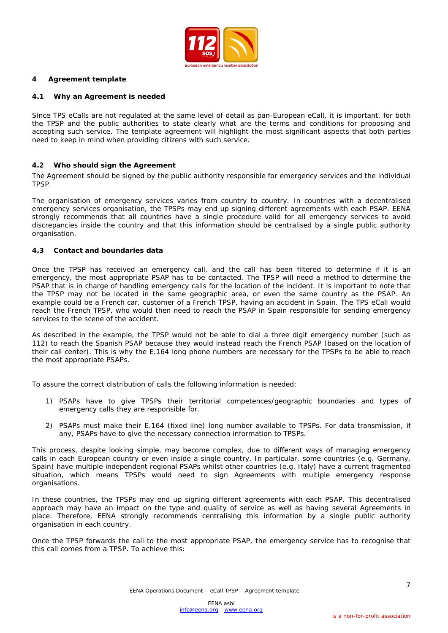

#### <span id="page-6-0"></span>**4 Agreement template**

#### <span id="page-6-1"></span>**4.1 Why an Agreement is needed**

Since TPS eCalls are not regulated at the same level of detail as pan-European eCall, it is important, for both the TPSP and the public authorities to state clearly what are the terms and conditions for proposing and accepting such service. The template agreement will highlight the most significant aspects that both parties need to keep in mind when providing citizens with such service.

## <span id="page-6-2"></span>**4.2 Who should sign the Agreement**

The Agreement should be signed by the public authority responsible for emergency services and the individual TPSP.

The organisation of emergency services varies from country to country. In countries with a decentralised emergency services organisation, the TPSPs may end up signing different agreements with each PSAP. EENA strongly recommends that all countries have a single procedure valid for all emergency services to avoid discrepancies inside the country and that this information should be centralised by a single public authority organisation.

#### <span id="page-6-3"></span>**4.3 Contact and boundaries data**

Once the TPSP has received an emergency call, and the call has been filtered to determine if it is an emergency, the most appropriate PSAP has to be contacted. The TPSP will need a method to determine the PSAP that is in charge of handling emergency calls for the location of the incident. It is important to note that the TPSP may not be located in the same geographic area, or even the same country as the PSAP. An example could be a French car, customer of a French TPSP, having an accident in Spain. The TPS eCall would reach the French TPSP, who would then need to reach the PSAP in Spain responsible for sending emergency services to the scene of the accident.

As described in the example, the TPSP would not be able to dial a three digit emergency number (such as 112) to reach the Spanish PSAP because they would instead reach the French PSAP (based on the location of their call center). This is why the E.164 long phone numbers are necessary for the TPSPs to be able to reach the most appropriate PSAPs.

To assure the correct distribution of calls the following information is needed:

- 1) PSAPs have to give TPSPs their territorial competences/geographic boundaries and types of emergency calls they are responsible for.
- 2) PSAPs must make their E.164 (fixed line) long number available to TPSPs. For data transmission, if any, PSAPs have to give the necessary connection information to TPSPs.

This process, despite looking simple, may become complex, due to different ways of managing emergency calls in each European country or even inside a single country. In particular, some countries (e.g. Germany, Spain) have multiple independent regional PSAPs whilst other countries (e.g. Italy) have a current fragmented situation, which means TPSPs would need to sign Agreements with multiple emergency response organisations.

In these countries, the TPSPs may end up signing different agreements with each PSAP. This decentralised approach may have an impact on the type and quality of service as well as having several Agreements in place. Therefore, EENA strongly recommends centralising this information by a single public authority organisation in each country.

Once the TPSP forwards the call to the most appropriate PSAP, the emergency service has to recognise that this call comes from a TPSP. To achieve this: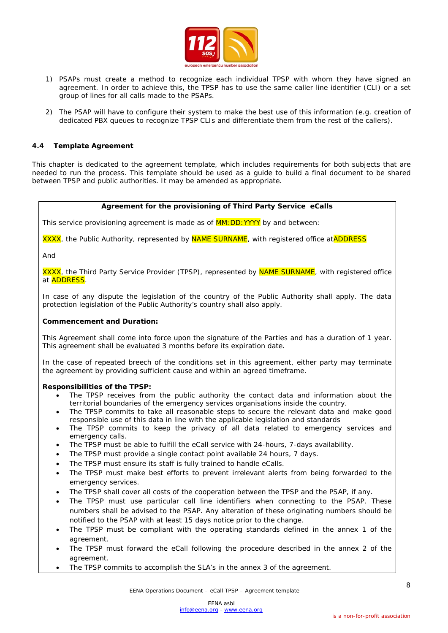

- 1) PSAPs must create a method to recognize each individual TPSP with whom they have signed an agreement. In order to achieve this, the TPSP has to use the same caller line identifier (CLI) or a set group of lines for all calls made to the PSAPs.
- 2) The PSAP will have to configure their system to make the best use of this information (e.g. creation of dedicated PBX queues to recognize TPSP CLIs and differentiate them from the rest of the callers).

# <span id="page-7-0"></span>**4.4 Template Agreement**

This chapter is dedicated to the agreement template, which includes requirements for both subjects that are needed to run the process. This template should be used as a guide to build a final document to be shared between TPSP and public authorities. It may be amended as appropriate.

## **Agreement for the provisioning of Third Party Service eCalls**

This service provisioning agreement is made as of **MM: DD: YYYY** by and between:

XXXX, the Public Authority, represented by **NAME SURNAME**, with registered office at ADDRESS

And

XXXX, the Third Party Service Provider (TPSP), represented by NAME SURNAME, with registered office at **ADDRESS**.

In case of any dispute the legislation of the country of the Public Authority shall apply. The data protection legislation of the Public Authority's country shall also apply.

## **Commencement and Duration:**

This Agreement shall come into force upon the signature of the Parties and has a duration of 1 year. This agreement shall be evaluated 3 months before its expiration date.

In the case of repeated breech of the conditions set in this agreement, either party may terminate the agreement by providing sufficient cause and within an agreed timeframe.

## **Responsibilities of the TPSP:**

- The TPSP receives from the public authority the contact data and information about the territorial boundaries of the emergency services organisations inside the country.
- The TPSP commits to take all reasonable steps to secure the relevant data and make good responsible use of this data in line with the applicable legislation and standards
- The TPSP commits to keep the privacy of all data related to emergency services and emergency calls.
- The TPSP must be able to fulfill the eCall service with 24-hours, 7-days availability.
- The TPSP must provide a single contact point available 24 hours, 7 days.
- The TPSP must ensure its staff is fully trained to handle eCalls.
- The TPSP must make best efforts to prevent irrelevant alerts from being forwarded to the emergency services.
- The TPSP shall cover all costs of the cooperation between the TPSP and the PSAP, if any.
- The TPSP must use particular call line identifiers when connecting to the PSAP. These numbers shall be advised to the PSAP. Any alteration of these originating numbers should be notified to the PSAP with at least 15 days notice prior to the change.
- The TPSP must be compliant with the operating standards defined in the annex 1 of the agreement.
- The TPSP must forward the eCall following the procedure described in the annex 2 of the agreement.
- The TPSP commits to accomplish the SLA's in the annex 3 of the agreement.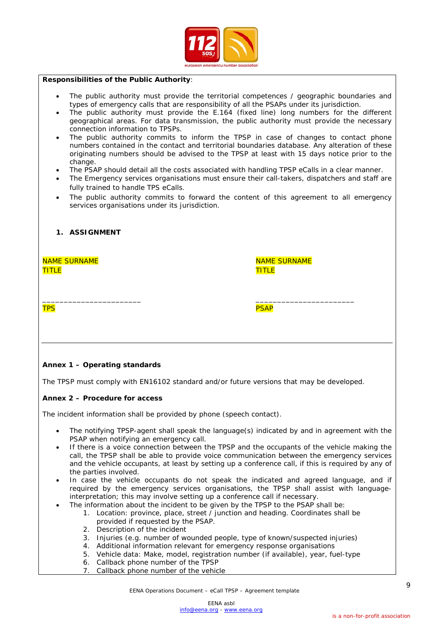

# **Responsibilities of the Public Authority**:

- The public authority must provide the territorial competences / geographic boundaries and types of emergency calls that are responsibility of all the PSAPs under its jurisdiction.
- The public authority must provide the E.164 (fixed line) long numbers for the different geographical areas. For data transmission, the public authority must provide the necessary connection information to TPSPs.
- The public authority commits to inform the TPSP in case of changes to contact phone numbers contained in the contact and territorial boundaries database. Any alteration of these originating numbers should be advised to the TPSP at least with 15 days notice prior to the change.
- The PSAP should detail all the costs associated with handling TPSP eCalls in a clear manner.
- The Emergency services organisations must ensure their call-takers, dispatchers and staff are fully trained to handle TPS eCalls.
- The public authority commits to forward the content of this agreement to all emergency services organisations under its jurisdiction.

#### **1. ASSIGNMENT**

<mark>TPS</mark> PSAP in the contract of the contract of the contract of the contract of the contract of the contract of the

\_\_\_\_\_\_\_\_\_\_\_\_\_\_\_\_\_\_\_\_\_\_\_ \_\_\_\_\_\_\_\_\_\_\_\_\_\_\_\_\_\_\_\_\_\_\_

**NAME SURNAME** 

# **Annex 1 – Operating standards**

The TPSP must comply with EN16102 standard and/or future versions that may be developed.

#### **Annex 2 – Procedure for access**

The incident information shall be provided by phone (speech contact).

- The notifying TPSP-agent shall speak the language(s) indicated by and in agreement with the PSAP when notifying an emergency call.
- If there is a voice connection between the TPSP and the occupants of the vehicle making the call, the TPSP shall be able to provide voice communication between the emergency services and the vehicle occupants, at least by setting up a conference call, if this is required by any of the parties involved.
- In case the vehicle occupants do not speak the indicated and agreed language, and if required by the emergency services organisations, the TPSP shall assist with languageinterpretation; this may involve setting up a conference call if necessary.
- The information about the incident to be given by the TPSP to the PSAP shall be:
	- 1. Location: province, place, street / junction and heading. Coordinates shall be provided if requested by the PSAP.
	- 2. Description of the incident
	- 3. Injuries (e.g. number of wounded people, type of known/suspected injuries)
	- 4. Additional information relevant for emergency response organisations
	- 5. Vehicle data: Make, model, registration number (if available), year, fuel-type
	- 6. Callback phone number of the TPSP
	- 7. Callback phone number of the vehicle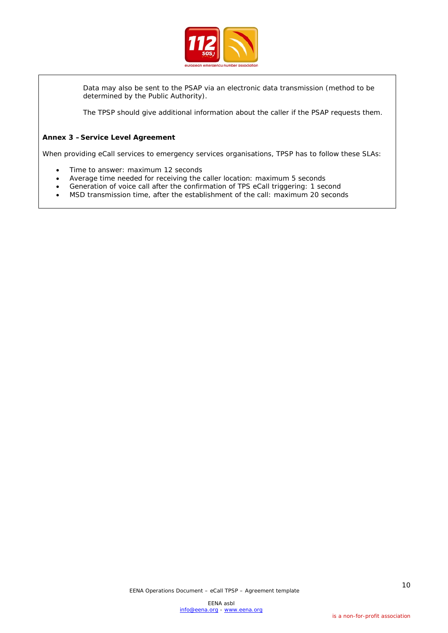

Data may also be sent to the PSAP via an electronic data transmission (method to be determined by the Public Authority).

The TPSP should give additional information about the caller if the PSAP requests them.

# **Annex 3 –Service Level Agreement**

When providing eCall services to emergency services organisations, TPSP has to follow these SLAs:

- Time to answer: maximum 12 seconds
- Average time needed for receiving the caller location: maximum 5 seconds
- Generation of voice call after the confirmation of TPS eCall triggering: 1 second
- MSD transmission time, after the establishment of the call: maximum 20 seconds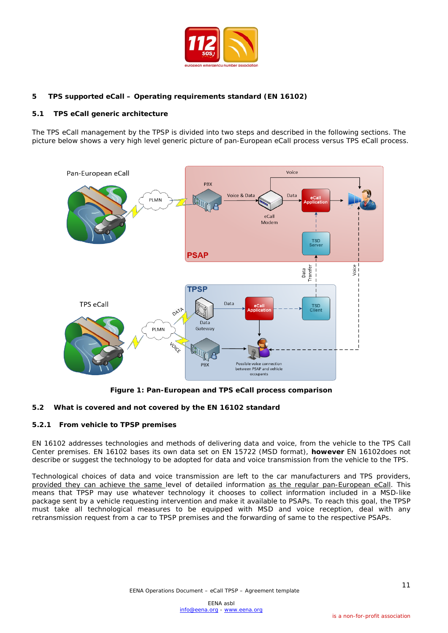

# <span id="page-10-0"></span>**5 TPS supported eCall – Operating requirements standard (EN 16102)**

# <span id="page-10-1"></span>**5.1 TPS eCall generic architecture**

The TPS eCall management by the TPSP is divided into two steps and described in the following sections. The picture below shows a very high level generic picture of pan-European eCall process versus TPS eCall process.



**Figure 1: Pan-European and TPS eCall process comparison**

## <span id="page-10-2"></span>**5.2 What is covered and not covered by the EN 16102 standard**

# <span id="page-10-3"></span>**5.2.1 From vehicle to TPSP premises**

EN 16102 addresses technologies and methods of delivering data and voice, from the vehicle to the TPS Call Center premises. EN 16102 bases its own data set on EN 15722 (MSD format), **however** EN 16102does not describe or suggest the technology to be adopted for data and voice transmission from the vehicle to the TPS.

Technological choices of data and voice transmission are left to the car manufacturers and TPS providers, provided they can achieve the same level of detailed information as the regular pan-European eCall. This means that TPSP may use whatever technology it chooses to collect information included in a MSD-like package sent by a vehicle requesting intervention and make it available to PSAPs. To reach this goal, the TPSP must take all technological measures to be equipped with MSD and voice reception, deal with any retransmission request from a car to TPSP premises and the forwarding of same to the respective PSAPs.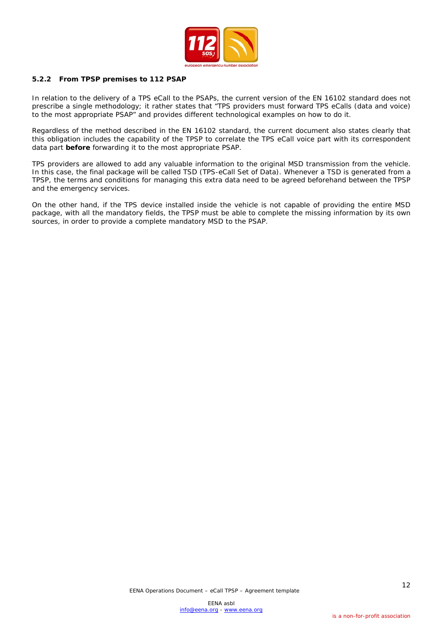

#### <span id="page-11-0"></span>**5.2.2 From TPSP premises to 112 PSAP**

In relation to the delivery of a TPS eCall to the PSAPs, the current version of the EN 16102 standard does not prescribe a single methodology; it rather states that "TPS providers must forward TPS eCalls (data and voice) to the *most appropriate PSAP*" and provides different technological examples on how to do it.

Regardless of the method described in the EN 16102 standard, the current document also states clearly that this obligation includes the capability of the TPSP to correlate the TPS eCall voice part with its correspondent data part **before** forwarding it to the *most appropriate PSAP*.

TPS providers are allowed to add any valuable information to the original MSD transmission from the vehicle. In this case, the final package will be called TSD (TPS-eCall Set of Data). Whenever a TSD is generated from a TPSP, the terms and conditions for managing this extra data need to be agreed beforehand between the TPSP and the emergency services.

On the other hand, if the TPS device installed inside the vehicle is not capable of providing the entire MSD package, with all the mandatory fields, the TPSP must be able to complete the missing information by its own sources, in order to provide a complete mandatory MSD to the PSAP.